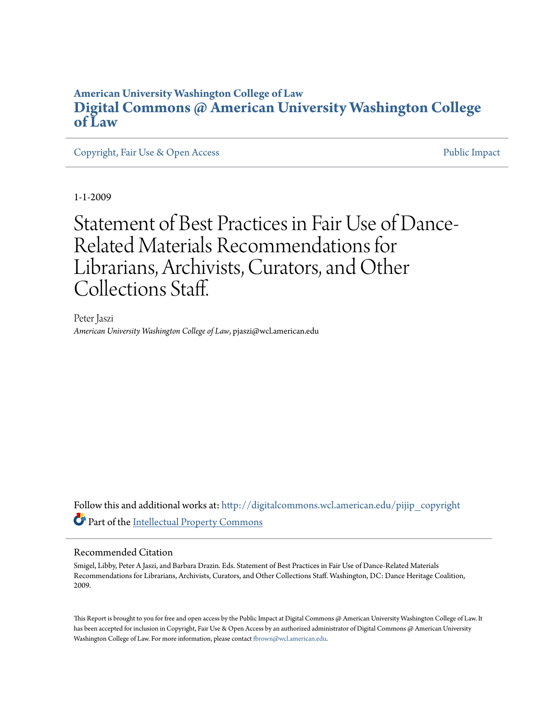#### **American University Washington College of Law [Digital Commons @ American University Washington College](http://digitalcommons.wcl.american.edu?utm_source=digitalcommons.wcl.american.edu%2Fpijip_copyright%2F2&utm_medium=PDF&utm_campaign=PDFCoverPages) [of Law](http://digitalcommons.wcl.american.edu?utm_source=digitalcommons.wcl.american.edu%2Fpijip_copyright%2F2&utm_medium=PDF&utm_campaign=PDFCoverPages)**

[Copyright, Fair Use & Open Access](http://digitalcommons.wcl.american.edu/pijip_copyright?utm_source=digitalcommons.wcl.american.edu%2Fpijip_copyright%2F2&utm_medium=PDF&utm_campaign=PDFCoverPages) **[Public Impact](http://digitalcommons.wcl.american.edu/pijip_public_impact?utm_source=digitalcommons.wcl.american.edu%2Fpijip_copyright%2F2&utm_medium=PDF&utm_campaign=PDFCoverPages)** Public Impact

1-1-2009

### Statement of Best Practices in Fair Use of Dance-Related Materials Recommendations for Librarians, Archivists, Curators, and Other Collections Staff.

Peter Jaszi *American University Washington College of Law*, pjaszi@wcl.american.edu

Follow this and additional works at: [http://digitalcommons.wcl.american.edu/pijip\\_copyright](http://digitalcommons.wcl.american.edu/pijip_copyright?utm_source=digitalcommons.wcl.american.edu%2Fpijip_copyright%2F2&utm_medium=PDF&utm_campaign=PDFCoverPages) Part of the [Intellectual Property Commons](http://network.bepress.com/hgg/discipline/896?utm_source=digitalcommons.wcl.american.edu%2Fpijip_copyright%2F2&utm_medium=PDF&utm_campaign=PDFCoverPages)

#### Recommended Citation

Smigel, Libby, Peter A Jaszi, and Barbara Drazin. Eds. Statement of Best Practices in Fair Use of Dance-Related Materials Recommendations for Librarians, Archivists, Curators, and Other Collections Staff. Washington, DC: Dance Heritage Coalition, 2009.

This Report is brought to you for free and open access by the Public Impact at Digital Commons @ American University Washington College of Law. It has been accepted for inclusion in Copyright, Fair Use & Open Access by an authorized administrator of Digital Commons @ American University Washington College of Law. For more information, please contact [fbrown@wcl.american.edu](mailto:fbrown@wcl.american.edu).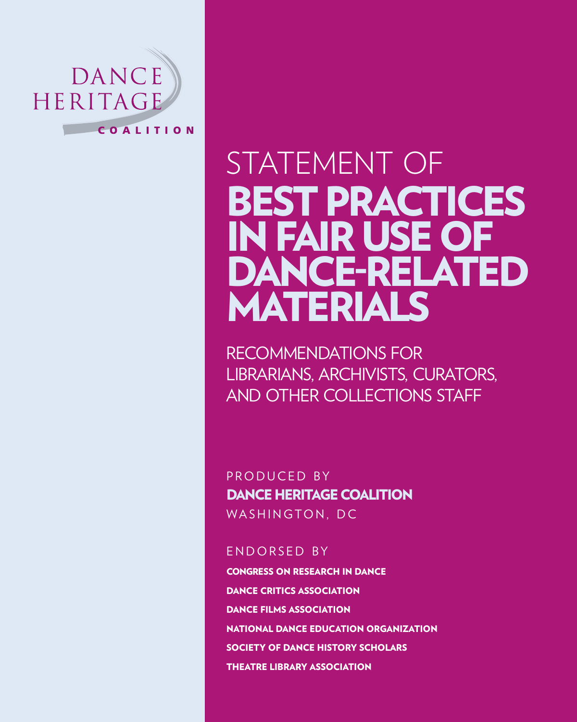

# STATEMENT OF Best Practices in Fair Use of DANCE-RELATED Materials

Recommendations for Librarians, Archivists, Curators, and Other Collections Staff

PRODUCED BY Dance Heritage Coalition Washington, DC

#### ENDORSED BY

Congress on Research in Dance Dance Critics Association Dance Films Association National Dance Education Organization Society of Dance History Scholars Theatre Library Association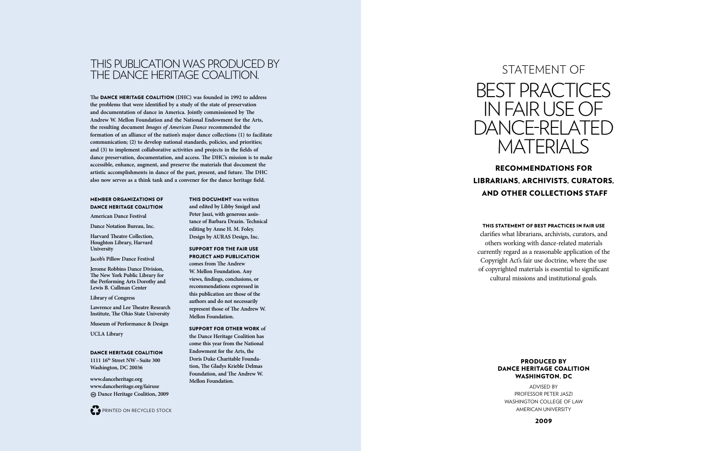Recommendations for L i brarians, Arc hivists, Curators, AND OTHER COLLECTIONS STAF

#### This State ment o f Best Practices in Fair Use

#### PRODUCED BY Dance Heritage Coalition Was hington, D C

Advised by P rofesso r Pete r Jaszi Washington C ollege of Law AMERICAN UNIVERSITY

clarifies what librarians, archivists, curators, and others working with dance-related materials currently regard as a reasonable application of the Copyright Act's fair use doctrine, where the use of copyrighted materials is essential to significant cultural missions and institutional goals.





### Thi s publication wa s produce d by THE Dance Heritage Coalition.

**The** Dance Heritage Coalition **(DHC) was founded in 1992 to address the problems that were identified by a study of the state of preservation and documentation of dance in America. Jointly commissioned by The Andrew W. Mellon Foundation and the National Endowment for the Arts, the resulting document** *Images of American Dance* **recommended the formation of an alliance of the nation's major dance collections (1) to facilitate communication; (2) to develop national standards, policies, and priorities; and (3) to implement collaborative activities and projects in the fields of dance preservation, documentation, and access. The DHC's mission is to make accessible, enhance, augment, and preserve the materials that document the artistic accomplishments in dance of the past, present, and future. The DHC also now serves as a think tank and a convener for the dance heritage field.**

> This document **was written and edited by Libby Smigel and Peter Jaszi, with generous assis tance of Barbara Drazin. Technical editing by Anne H. M. Foley. Design by AURAS Design, Inc.**

Support for t he fair use project an d publication **comes from The Andrew W. Mellon Foundation. Any views, findings, conclusions, or recommendations expressed in this publication are those of the authors and do not necessarily represent those of The Andrew W. Mellon Foundation.** 

Support for ot her work **of the Dance Heritage Coalition has come this year from the National Endowment for the Arts, the Doris Duke Charitable Founda tion, The Gladys Krieble Delmas Foundation, and The Andrew W. Mellon Foundation.**

## Statement of BEST PRACTICES in Fair U se of DANCE-RELATED MATFRIAI S

#### Member organizations o f Dance Heritage Coalitio N

**American Dance Festival**

**Dance Notation Bureau, Inc.**

**Harvard Theatre Collection, Houghton Library, Harvard University**

**Jacob's Pillow Dance Festival**

**Jerome Robbins Dance Division, The New York Public Library for the Performing Arts Dorothy and Lewis B. Cullman Center**

**Library of Congress**

**Lawrence and Lee Theatre Research Institute, The Ohio State University**

**Museum of Performance & Design**

**UCLA Library**

#### DANCE HERITAGE COALITION

**1111 16th Street NW –Suite 300 Washington, DC 20036**

**www.danceheritage.org www.danceheritage.org/fairuse Dance Heritage Coalition, 2009**

PRINTED ON RECYC LED STOC K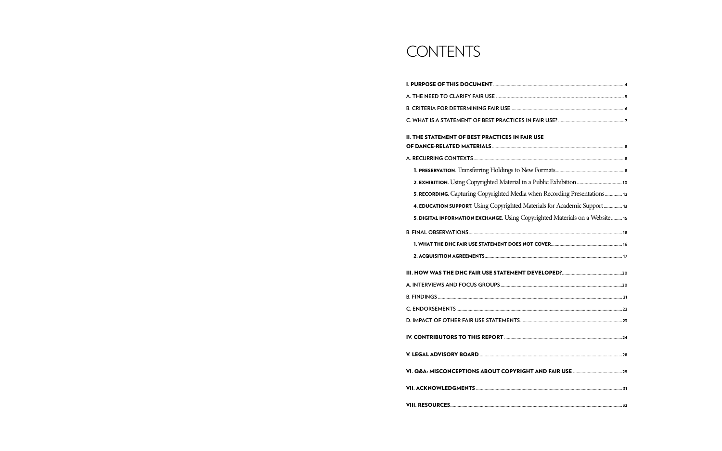## **CONTENTS**

| <b>II. THE STATEMENT OF BEST PRACTICES IN FAIR USE</b>                       |  |
|------------------------------------------------------------------------------|--|
|                                                                              |  |
|                                                                              |  |
|                                                                              |  |
|                                                                              |  |
| 3. RECORDING. Capturing Copyrighted Media when Recording Presentations 12    |  |
| 4. EDUCATION SUPPORT. Using Copyrighted Materials for Academic Support 13    |  |
| 5. DIGITAL INFORMATION EXCHANGE. Using Copyrighted Materials on a Website 15 |  |
|                                                                              |  |
|                                                                              |  |
|                                                                              |  |
|                                                                              |  |
|                                                                              |  |
|                                                                              |  |
|                                                                              |  |
|                                                                              |  |
|                                                                              |  |
|                                                                              |  |
|                                                                              |  |
|                                                                              |  |
|                                                                              |  |
|                                                                              |  |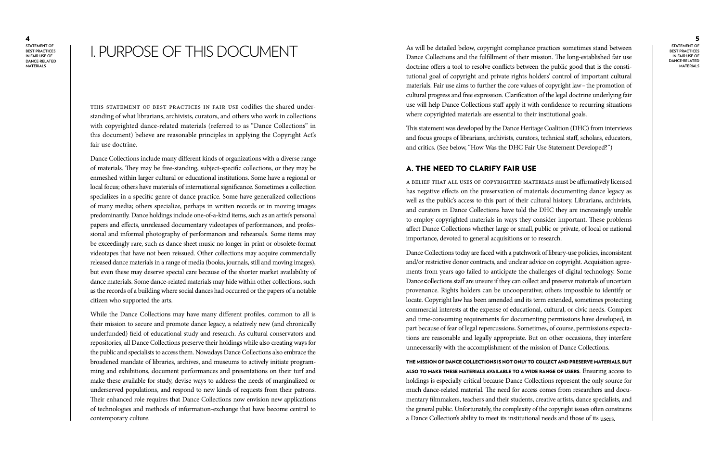**Materi als**

I. PURPOSE OF THIS DOCUMENT i<br>P

#### 5

**Statement of BEST PRACTICES i n Fair Use of Dance-related Materi als**

As will be detailed below, copyright compliance practices sometimes stand between Dance Collections and the fulfillment of their mission. The long-established fair use doctrine offers a tool to resolve conflicts between the public good that is the consti tutional goal of copyright and private rights holders' control of important cultural materials. Fair use aims to further the core values of copyright law-the promotion of cultural progress and free expression. Clarification of the legal doctrine underlying fair use will help Dance Collections staff apply it with confidence to recurring situations where copyrighted materials are essential to their institutional goals.

This statement was developed by the Dance Heritage Coalition (DHC) from interviews and focus groups of librarians, archivists, curators, technical staff, scholars, educators, and critics. (See below, "How Was the DHC Fair Use Statement Developed?")

#### A. The Need to Clarify Fair Use

A belief that all uses of copyrighted materials must be affirmatively licensed has negative effects on the preservation of materials documenting dance legacy as well as the public's access to this part of their cultural history. Librarians, archivists, and curators in Dance Collections have told the DHC they are increasingly unable to employ copyrighted materials in ways they consider important. These problems affect Dance Collections whether large or small, public or private, of local or national importance, devoted to general acquisitions or to research.

THE MISSION OF DANCE COLLECTIONS IS NOT ONLY TO COLLECT AND PRESERVE MATERIALS, BUT also to make t hese materials availa ble to a w i de range o f users. Ensuring access to holdings is especially critical because Dance Collections represent the only source for much dance-related material. The need for access comes from researchers and docu mentary filmmakers, teachers and their students, creative artists, dance specialists, and the general public. Unfortunately, the complexity of the copyright issues often constrains a Dance Collection's ability to meet its institutional needs and those of its users.

Dance Collections today are faced with a patchwork of library-use policies, inconsistent and/or restrictive donor contracts, and unclear advice on copyright. Acquisition agree ments from years ago failed to anticipate the challenges of digital technology. Some Dance <sup>C</sup>ollections staff are unsure if they can collect and preserve materials of uncertain provenance. Rights holders can be uncooperative; others impossible to identify or locate. Copyright law has been amended and its term extended, sometimes protecting commercial interests at the expense of educational, cultural, or civic needs. Complex and time-consuming requirements for documenting permissions have developed, in part because of fear of legal repercussions. Sometimes, of course, permissions expecta tions are reasonable and legally appropriate. But on other occasions, they interfere unnecessarily with the accomplishment of the mission of Dance Collections.

This Statement of Best Practices in Fair Use codifies the shared under standing of what librarians, archivists, curators, and others who work in collections with copyrighted dance-related materials (referred to as "Dance Collections" in this document) believe are reasonable principles in applying the Copyright Act's fair use doctrine.

Dance Collections include many different kinds of organizations with a diverse range of materials. They may be free-standing, subject-specific collections, or they may be enmeshed within larger cultural or educational institutions. Some have a regional or local focus; others have materials of international significance. Sometimes a collection specializes in a specific genre of dance practice. Some have generalized collections of many media; others specialize, perhaps in written records or in moving images predominantly. Dance holdings include one-of-a-kind items, such as an artist's personal papers and effects, unreleased documentary videotapes of performances, and profes sional and informal photography of performances and rehearsals. Some items may be exceedingly rare, such as dance sheet music no longer in print or obsolete-format videotapes that have not been reissued. Other collections may acquire commercially released dance materials in a range of media (books, journals, still and moving images), but even these may deserve special care because of the shorter market availability of dance materials. Some dance-related materials may hide within other collections, such as the records of a building where social dances had occurred or the papers of a notable citizen who supported the arts.

While the Dance Collections may have many different profiles, common to all is their mission to secure and promote dance legacy, a relatively new (and chronically underfunded) field of educational study and research. As cultural conservators and repositories, all Dance Collections preserve their holdings while also creating ways for the public and specialists to access them. Nowadays Dance Collections also embrace the broadened mandate of libraries, archives, and museums to actively initiate program ming and exhibitions, document performances and presentations on their turf and make these available for study, devise ways to address the needs of marginalized or underserved populations, and respond to new kinds of requests from their patrons. Their enhanced role requires that Dance Collections now envision new applications of technologies and methods of information-exchange that have become central to contemporary culture.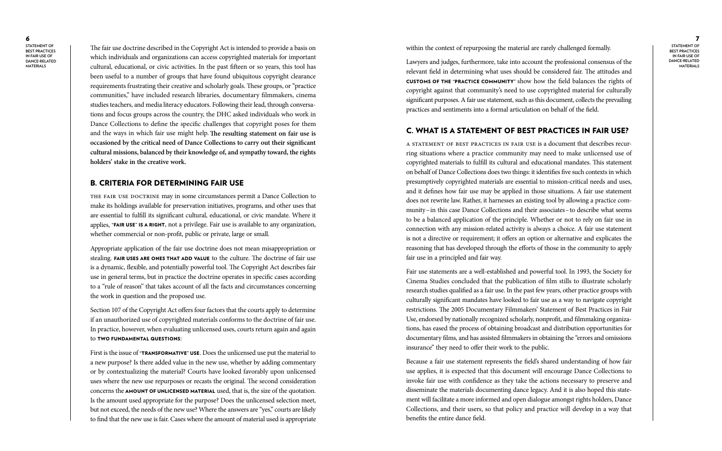7 **Statement of BEST PRACTICES i n Fair Use of Dance-related Materi als**

within the context of repurposing the material are rarely challenged formally.

Lawyers and judges, furthermore, take into account the professional consensus of the relevant field in determining what uses should be considered fair. The attitudes and customs of the "practice community" show how the field balances the rights of copyright against that community's need to use copyrighted material for culturally significant purposes. A fair use statement, such as this document, collects the prevailing practices and sentiments into a formal articulation on behalf of the field.

### C. What Is a Statement of Best Practices in Fair Use?

A Statement of Best Practices in Fair Use is a document that describes recur ring situations where a practice community may need to make unlicensed use of copyrighted materials to fulfill its cultural and educational mandates. This statement on behalf of Dance Collections does two things: it identifies five such contexts in which presumptively copyrighted materials are essential to mission-critical needs and uses, and it defines how fair use may be applied in those situations. A fair use statement does not rewrite law. Rather, it harnesses an existing tool by allowing a practice com munity –in this case Dance Collections and their associates –to describe what seems to be a balanced application of the principle. Whether or not to rely on fair use in connection with any mission-related activity is always a choice. A fair use statement is not a directive or requirement; it offers an option or alternative and explicates the reasoning that has developed through the efforts of those in the community to apply fair use in a principled and fair way.

Fair use statements are a well-established and powerful tool. In 1993, the Society for Cinema Studies concluded that the publication of film stills to illustrate scholarly research studies qualified as a fair use. In the past few years, other practice groups with culturally significant mandates have looked to fair use as a way to navigate copyright restrictions. The 2005 Documentary Filmmakers' Statement of Best Practices in Fair Use, endorsed by nationally recognized scholarly, nonprofit, and filmmaking organiza tions, has eased the process of obtaining broadcast and distribution opportunities for documentary films, and has assisted filmmakers in obtaining the "errors and omissions insurance" they need to offer their work to the public.

Section 107 of the Copyright Act offers four factors that the courts apply to determine if an unauthorized use of copyrighted materials conforms to the doctrine of fair use. In practice, however, when evaluating unlicensed uses, courts return again and again to TWO FUNDAMENTAL QUESTIONS:

> Because a fair use statement represents the field's shared understanding of how fair use applies, it is expected that this document will encourage Dance Collections to invoke fair use with confidence as they take the actions necessary to preserve and disseminate the materials documenting dance legacy. And it is also hoped this state ment will facilitate a more informed and open dialogue amongst rights holders, Dance Collections, and their users, so that policy and practice will develop in a way that benefits the entire dance field.

First is the issue of "TRANSFORMATIVE" USE. Does the unlicensed use put the material to a new purpose? Is there added value in the new use, whether by adding commentary or by contextualizing the material? Courts have looked favorably upon unlicensed uses where the new use repurposes or recasts the original. The second consideration concerns the AMOUNT OF UNLICENSED MATERIAL used, that is, the size of the quotation. Is the amount used appropriate for the purpose? Does the unlicensed selection meet, but not exceed, the needs of the new use? Where the answers are "yes," courts are likely to find that the new use is fair. Cases where the amount of material used is appropriate

The fair use doctrine described in the Copyright Act is intended to provide a basis on which individuals and organizations can access copyrighted materials for important cultural, educational, or civic activities. In the past fifteen or so years, this tool has been useful to a number of groups that have found ubiquitous copyright clearance requirements frustrating their creative and scholarly goals. These groups, or "practice communities," have included research libraries, documentary filmmakers, cinema studies teachers, and media literacy educators. Following their lead, through conversa tions and focus groups across the country, the DHC asked individuals who work in Dance Collections to define the specific challenges that copyright poses for them and the ways in which fair use might help.**The resulting statement on fair use is occasioned by the critical need of Dance Collections to carry out their significant cultural missions, balanced by their knowledge of, and sympathy toward, the rights holders' stake in the creative work.**

#### B. Criteria for Deter mining Fair Use

The fair use doctrine may in some circumstances permit a Dance Collection to make its holdings available for preservation initiatives, programs, and other uses that are essential to fulfill its significant cultural, educational, or civic mandate. Where it applies, "FAIR USE" IS A RIGHT, not a privilege. Fair use is available to any organization, whether commercial or non-profit, public or private, large or small.

Appropriate application of the fair use doctrine does not mean misappropriation or stealing. FAIR USES ARE ONES THAT ADD VALUE to the culture. The doctrine of fair use is a dynamic, flexible, and potentially powerful tool. The Copyright Act describes fair use in general terms, but in practice the doctrine operates in specific cases according to a "rule of reason" that takes account of all the facts and circumstances concerning the work in question and the proposed use.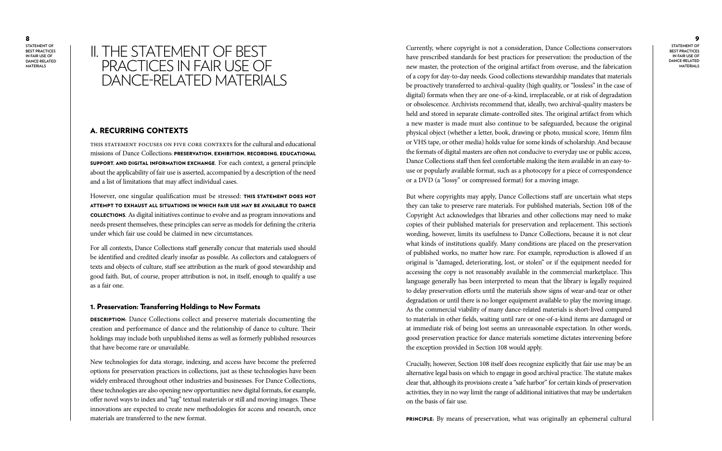#### 9

**Statement of BEST PRACTICES i n Fair Use of Dance-related Materi als**

Currently, where copyright is not a consideration, Dance Collections conservators have prescribed standards for best practices for preservation: the production of the new master, the protection of the original artifact from overuse, and the fabrication of a copy for day-to-day needs. Good collections stewardship mandates that materials be proactively transferred to archival-quality (high quality, or "lossless" in the case of digital) formats when they are one-of-a-kind, irreplaceable, or at risk of degradation or obsolescence. Archivists recommend that, ideally, two archival-quality masters be held and stored in separate climate-controlled sites. The original artifact from which a new master is made must also continue to be safeguarded, because the original physical object (whether a letter, book, drawing or photo, musical score, 16mm film or VHS tape, or other media) holds value for some kinds of scholarship. And because the formats of digital masters are often not conducive to everyday use or public access, Dance Collections staff then feel comfortable making the item available in an easy-touse or popularly available format, such as a photocopy for a piece of correspondence or a DVD (a "lossy" or compressed format) for a moving image.

### II. The Statement of Be st PRACTICES IN FAIR USE OF DANCE-RELATED MATERIALS

However, one singular qualification must be stressed: THIS STATEMENT DOES NOT ATTEMPT TO EXHAUST ALL SITUATIONS IN WHICH FAIR USE MAY BE AVAILABLE TO DANCE Collections. As digital initiatives continue to evolve and as program innovations and needs present themselves, these principles can serve as models for defining the criteria under which fair use could be claimed in new circumstances.

But where copyrights may apply, Dance Collections staff are uncertain what steps they can take to preserve rare materials. For published materials, Section 108 of the Copyright Act acknowledges that libraries and other collections may need to make copies of their published materials for preservation and replacement. This section's wording, however, limits its usefulness to Dance Collections, because it is not clear what kinds of institutions qualify. Many conditions are placed on the preservation of published works, no matter how rare. For example, reproduction is allowed if an original is "damaged, deteriorating, lost, or stolen" or if the equipment needed for accessing the copy is not reasonably available in the commercial marketplace. This language generally has been interpreted to mean that the library is legally required to delay preservation efforts until the materials show signs of wear-and-tear or other degradation or until there is no longer equipment available to play the moving image. As the commercial viability of many dance-related materials is short-lived compared to materials in other fields, waiting until rare or one-of-a-kind items are damaged or at immediate risk of being lost seems an unreasonable expectation. In other words, good preservation practice for dance materials sometime dictates intervening before the exception provided in Section 108 would apply.

**DESCRIPTION:** Dance Collections collect and preserve materials documenting the creation and performance of dance and the relationship of dance to culture. Their holdings may include both unpublished items as well as formerly published resources that have become rare or unavailable.

> Crucially, however, Section 108 itself does recognize explicitly that fair use may be an alternative legal basis on which to engage in good archival practice. The statute makes clear that, although its provisions create a "safe harbor" for certain kinds of preservation activities, they in no way limit the range of additional initiatives that may be undertaken on the basis of fair use.

> PRINCIPLE: By means of preservation, what was originally an ephemeral cultural

#### A. Rec urring Contexts

This statement focuses on five core contexts for the cultural and educational missions of Dance Collections: PRESERVATION, EXHIBITION, RECORDING, EDUCATIONAL SUPPORT, AND DIGITAL INFORMATION EXCHANGE. For each context, a general principle about the applicability of fair use is asserted, accompanied by a description of the need and a list of limitations that may affect individual cases.

For all contexts, Dance Collections staff generally concur that materials used should be identified and credited clearly insofar as possible. As collectors and cataloguers of texts and objects of culture, staff see attribution as the mark of good stewardship and good faith. But, of course, proper attribution is not, in itself, enough to qualify a use as a fair one.

#### 1. Preservation: Transferring Holdings to New Formats

New technologies for data storage, indexing, and access have become the preferred options for preservation practices in collections, just as these technologies have been widely embraced throughout other industries and businesses. For Dance Collections, these technologies are also opening new opportunities: new digital formats, for example, offer novel ways to index and "tag" textual materials or still and moving images. These innovations are expected to create new methodologies for access and research, once materials are transferred to the new format.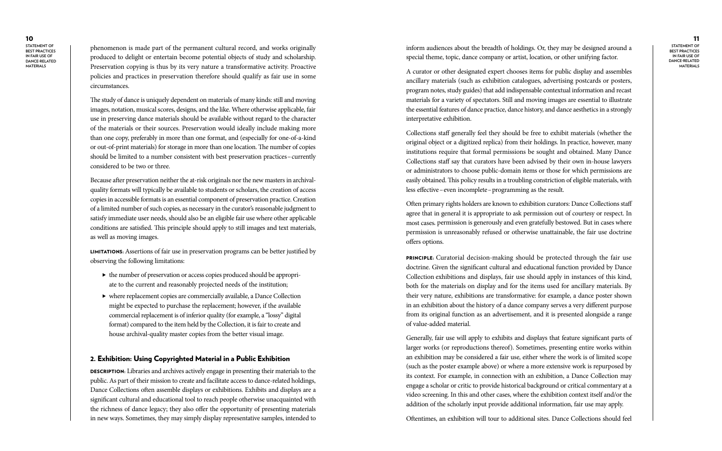#### 11

**Statement of BEST PRACTICES i n Fair Use of Dance-related Materi als**

inform audiences about the breadth of holdings. Or, they may be designed around a special theme, topic, dance company or artist, location, or other unifying factor.

A curator or other designated expert chooses items for public display and assembles ancillary materials (such as exhibition catalogues, advertising postcards or posters, program notes, study guides) that add indispensable contextual information and recast materials for a variety of spectators. Still and moving images are essential to illustrate the essential features of dance practice, dance history, and dance aesthetics in a strongly interpretative exhibition.

Collections staff generally feel they should be free to exhibit materials (whether the original object or a digitized replica) from their holdings. In practice, however, many institutions require that formal permissions be sought and obtained. Many Dance Collections staff say that curators have been advised by their own in-house lawyers or administrators to choose public-domain items or those for which permissions are easily obtained. This policy results in a troubling constriction of eligible materials, with less effective –even incomplete –programming as the result.

PRINCIPLE: Curatorial decision-making should be protected through the fair use doctrine. Given the significant cultural and educational function provided by Dance Collection exhibitions and displays, fair use should apply in instances of this kind, both for the materials on display and for the items used for ancillary materials. By their very nature, exhibitions are transformative: for example, a dance poster shown in an exhibition about the history of a dance company serves a very different purpose from its original function as an advertisement, and it is presented alongside a range of value-added material.

Often primary rights holders are known to exhibition curators: Dance Collections staff agree that in general it is appropriate to ask permission out of courtesy or respect. In most cases , permission is generously and even gratefully bestowed. But in cases where permission is unreasonably refused or otherwise unattainable, the fair use doctrine offers options.

- the number of preservation or access copies produced should be appropriate to the current and reasonably projected needs of the institution;
- $\blacktriangleright$  where replacement copies are commercially available, a Dance Collection might be expected to purchase the replacement; however, if the available commercial replacement is of inferior quality (for example, a "lossy" digital format) compared to the item held by the Collection, it is fair to create and house archival-quality master copies from the better visual image.

Generally, fair use will apply to exhibits and displays that feature significant parts of larger works (or reproductions thereof). Sometimes, presenting entire works within an exhibition may be considered a fair use, either where the work is of limited scope (such as the poster example above) or where a more extensive work is repurposed by its context. For example, in connection with an exhibition, a Dance Collection may engage a scholar or critic to provide historical background or critical commentary at a video screening. In this and other cases, where the exhibition context itself and/or the addition of the scholarly input provide additional information, fair use may apply.

DESCRIPTION: Libraries and archives actively engage in presenting their materials to the public. As part of their mission to create and facilitate access to dance-related holdings, Dance Collections often assemble displays or exhibitions. Exhibits and displays are a significant cultural and educational tool to reach people otherwise unacquainted with the richness of dance legacy; they also offer the opportunity of presenting materials in new ways. Sometimes, they may simply display representative samples, intended to

Oftentimes, an exhibition will tour to additional sites. Dance Collections should feel

phenomenon is made part of the permanent cultural record, and works originally produced to delight or entertain become potential objects of study and scholarship. Preservation copying is thus by its very nature a transformative activity. Proactive policies and practices in preservation therefore should qualify as fair use in some circumstances.

The study of dance is uniquely dependent on materials of many kinds: still and moving images, notation, musical scores, designs, and the like. Where otherwise applicable, fair use in preserving dance materials should be available without regard to the character of the materials or their sources. Preservation would ideally include making more than one copy, preferably in more than one format, and (especially for one-of-a-kind or out-of-print materials) for storage in more than one location. The number of copies should be limited to a number consistent with best preservation practices –currently considered to be two or three.

Because after preservation neither the at-risk originals nor the new masters in archivalquality formats will typically be available to students or scholars, the creation of access copies in accessible formats is an essential component of preservation practice. Creation of a limited number of such copies, as necessary in the curator's reasonable judgment to satisfy immediate user needs, should also be an eligible fair use where other applicable conditions are satisfied. This principle should apply to still images and text materials, as well as moving images.

Limitations: Assertions of fair use in preservation programs can be better justified by observing the following limitations:

#### 2. Exhibition: Using Copyrighted Material in a Public Exhibition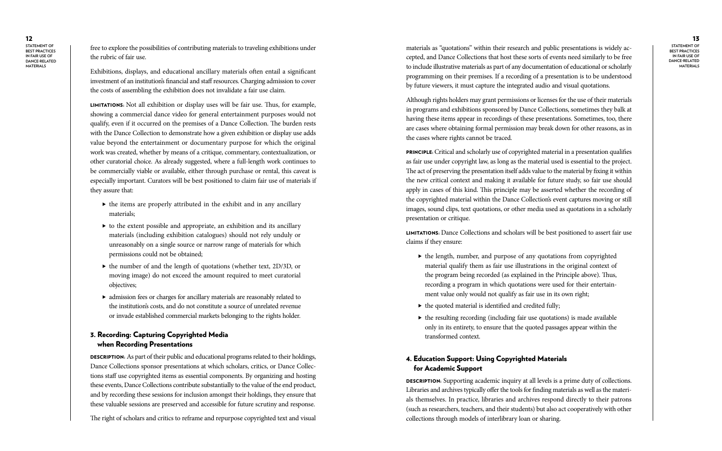#### 13

**Statement of BEST PRACTICES i n Fair Use of Dance-related Materi als**

materials as "quotations" within their research and public presentations is widely ac cepted, and Dance Collections that host these sorts of events need similarly to be free to include illustrative materials as part of any documentation of educational or scholarly programming on their premises. If a recording of a presentation is to be understood by future viewers, it must capture the integrated audio and visual quotations.

Although rights holders may grant permissions or licenses for the use of their materials in programs and exhibitions sponsored by Dance Collections, sometimes they balk at having these items appear in recordings of these presentations. Sometimes, too, there are cases where obtaining formal permission may break down for other reasons, as in the cases where rights cannot be traced.

PRINCIPLE: Critical and scholarly use of copyrighted material in a presentation qualifies as fair use under copyright law, as long as the material used is essential to the project. The act of preserving the presentation itself adds value to the material by fixing it within the new critical context and making it available for future study, so fair use should apply in cases of this kind. This principle may be asserted whether the recording of the copyrighted material within the Dance Collection's event captures moving or still images, sound clips, text quotations, or other media used as quotations in a scholarly presentation or critique.

- $\blacktriangleright$  the length, number, and purpose of any quotations from copyrighted material qualify them as fair use illustrations in the original context of the program being recorded (as explained in the Principle above). Thus, recording a program in which quotations were used for their entertain ment value only would not qualify as fair use in its own right;
- $\blacktriangleright$  the quoted material is identified and credited fully;
- $\blacktriangleright$  the resulting recording (including fair use quotations) is made available only in its entirety, to ensure that the quoted passages appear within the transformed context.

**DESCRIPTION**: Supporting academic inquiry at all levels is a prime duty of collections. Libraries and archives typically offer the tools for finding materials as well as the materi als themselves. In practice, libraries and archives respond directly to their patrons (such as researchers, teachers, and their students) but also act cooperatively with other collections through models of interlibrary loan or sharing.

Limitations: Dance Collections and scholars will be best positioned to assert fair use claims if they ensure:

- $\blacktriangleright$  the items are properly attributed in the exhibit and in any ancillary materials;
- $\triangleright$  to the extent possible and appropriate, an exhibition and its ancillary materials (including exhibition catalogues) should not rely unduly or unreasonably on a single source or narrow range of materials for which permissions could not be obtained;
- $\blacktriangleright$  the number of and the length of quotations (whether text, 2D/3D, or moving image) do not exceed the amount required to meet curatorial objectives;
- $\blacktriangleright$  admission fees or charges for ancillary materials are reasonably related to the institution's costs, and do not constitute a source of unrelated revenue or invade established commercial markets belonging to the rights holder.

#### 4. Education Support: Using Copyrighted Materials for Academic Support

DESCRIPTION: As part of their public and educational programs related to their holdings, Dance Collections sponsor presentations at which scholars, critics, or Dance Collec tions staff use copyrighted items as essential components. By organizing and hosting these events, Dance Collections contribute substantially to the value of the end product, and by recording these sessions for inclusion amongst their holdings, they ensure that these valuable sessions are preserved and accessible for future scrutiny and response.

free to explore the possibilities of contributing materials to traveling exhibitions under the rubric of fair use.

Exhibitions, displays, and educational ancillary materials often entail a significant investment of an institution's financial and staff resources. Charging admission to cover the costs of assembling the exhibition does not invalidate a fair use claim.

Limitations: Not all exhibition or display uses will be fair use. Thus, for example, showing a commercial dance video for general entertainment purposes would not qualify, even if it occurred on the premises of a Dance Collection. The burden rests with the Dance Collection to demonstrate how a given exhibition or display use adds value beyond the entertainment or documentary purpose for which the original work was created, whether by means of a critique, commentary, contextualization, or other curatorial choice. As already suggested, where a full-length work continues to be commercially viable or available, either through purchase or rental, this caveat is especially important. Curators will be best positioned to claim fair use of materials if they assure that:

#### 3. Recording: Capturing Copyrighted Media when Recording Presentations

The right of scholars and critics to reframe and repurpose copyrighted text and visual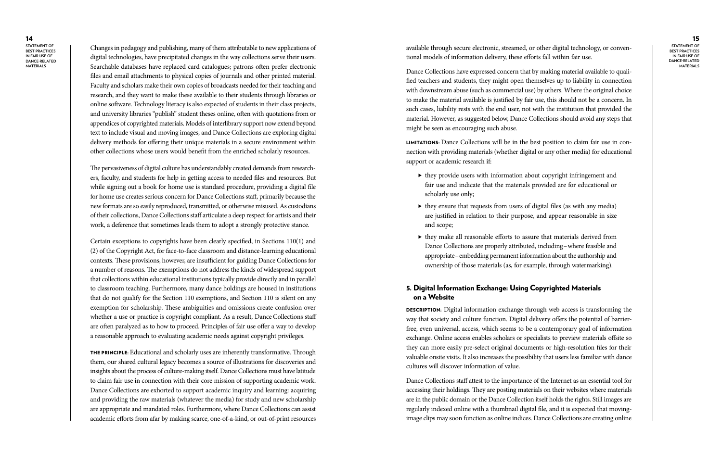14

**Statement of BEST PRACTICES i n Fair Use of Dance-related Materi als**

#### 15

**Statement of BEST PRACTICES i n Fair Use of Dance-related Materi als**

available through secure electronic, streamed, or other digital technology, or conven tional models of information delivery, these efforts fall within fair use.

Dance Collections have expressed concern that by making material available to quali fied teachers and students, they might open themselves up to liability in connection with downstream abuse (such as commercial use) by others. Where the original choice to make the material available is justified by fair use, this should not be a concern. In such cases, liability rests with the end user, not with the institution that provided the material. However, as suggested below, Dance Collections should avoid any steps that might be seen as encouraging such abuse.

- $\blacktriangleright$  they provide users with information about copyright infringement and fair use and indicate that the materials provided are for educational or scholarly use only;
- $\blacktriangleright$  they ensure that requests from users of digital files (as with any media) are justified in relation to their purpose, and appear reasonable in size and scope;
- $\blacktriangleright$  they make all reasonable efforts to assure that materials derived from Dance Collections are properly attributed, including –where feasible and appropriate –embedding permanent information about the authorship and ownership of those materials (as, for example, through watermarking).

Limitations: Dance Collections will be in the best position to claim fair use in con nection with providing materials (whether digital or any other media) for educational support or academic research if:

**DESCRIPTION**: Digital information exchange through web access is transforming the way that society and culture function. Digital delivery offers the potential of barrierfree, even universal, access, which seems to be a contemporary goal of information exchange. Online access enables scholars or specialists to preview materials offsite so they can more easily pre-select original documents or high-resolution files for their valuable onsite visits. It also increases the possibility that users less familiar with dance cultures will discover information of value.

#### 5. Digital Information Exchange: Using Copyrighted Materials on a Website

Dance Collections staff attest to the importance of the Internet as an essential tool for accessing their holdings. They are posting materials on their websites where materials are in the public domain or the Dance Collection itself holds the rights. Still images are regularly indexed online with a thumbnail digital file, and it is expected that movingimage clips may soon function as online indices. Dance Collections are creating online

THE PRINCIPLE: Educational and scholarly uses are inherently transformative. Through them, our shared cultural legacy becomes a source of illustrations for discoveries and insights about the process of culture-making itself. Dance Collections must have latitude to claim fair use in connection with their core mission of supporting academic work. Dance Collections are exhorted to support academic inquiry and learning: acquiring and providing the raw materials (whatever the media) for study and new scholarship are appropriate and mandated roles. Furthermore, where Dance Collections can assist academic efforts from afar by making scarce, one-of-a-kind, or out-of-print resources

Changes in pedagogy and publishing, many of them attributable to new applications of digital technologies, have precipitated changes in the way collections serve their users. Searchable databases have replaced card catalogues; patrons often prefer electronic files and email attachments to physical copies of journals and other printed material. Faculty and scholars make their own copies of broadcasts needed for their teaching and research, and they want to make these available to their students through libraries or online software. Technology literacy is also expected of students in their class projects, and university libraries "publish" student theses online, often with quotations from or appendices of copyrighted materials. Models of interlibrary support now extend beyond text to include visual and moving images, and Dance Collections are exploring digital delivery methods for offering their unique materials in a secure environment within other collections whose users would benefit from the enriched scholarly resources.

The pervasiveness of digital culture has understandably created demands from research ers, faculty, and students for help in getting access to needed files and resources. But while signing out a book for home use is standard procedure, providing a digital file for home use creates serious concern for Dance Collections staff, primarily because the new formats are so easily reproduced, transmitted, or otherwise misused. As custodians of their collections, Dance Collections staff articulate a deep respect for artists and their work, a deference that sometimes leads them to adopt a strongly protective stance.

Certain exceptions to copyrights have been clearly specified, in Sections 110(1) and (2) of the Copyright Act, for face-to-face classroom and distance-learning educational contexts. These provisions, however, are insufficient for guiding Dance Collections for a number of reasons. The exemptions do not address the kinds of widespread support that collections within educational institutions typically provide directly and in parallel to classroom teaching. Furthermore, many dance holdings are housed in institutions that do not qualify for the Section 110 exemptions, and Section 110 is silent on any exemption for scholarship. These ambiguities and omissions create confusion over whether a use or practice is copyright compliant. As a result, Dance Collections staff are often paralyzed as to how to proceed. Principles of fair use offer a way to develop a reasonable approach to evaluating academic needs against copyright privileges.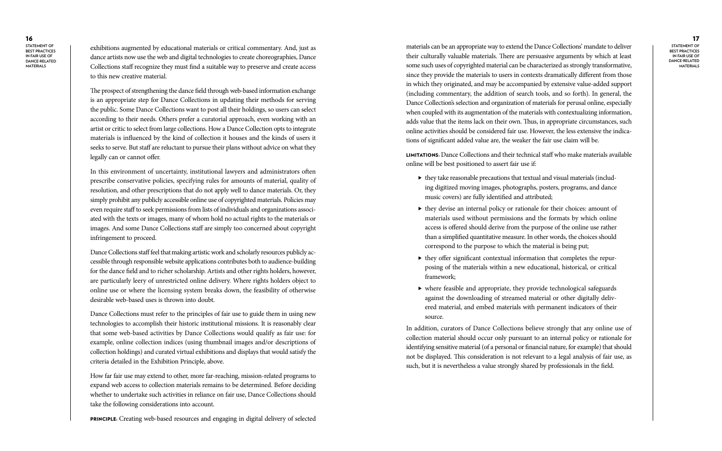### 16

**Statement of BEST PRACTICES i n Fair Use of Dance-related Materi als**

17 **Statement of BEST PRACTICES i n Fair Use of Dance-related Materi als**

materials can be an appropriate way to extend the Dance Collections' mandate to deliver their culturally valuable materials. There are persuasive arguments by which at least some such uses of copyrighted material can be characterized as strongly transformative, since they provide the materials to users in contexts dramatically different from those in which they originated, and may be accompanied by extensive value-added support (including commentary, the addition of search tools, and so forth). In general, the Dance Collection's selection and organization of materials for perusal online, especially when coupled with its augmentation of the materials with contextualizing information, adds value that the items lack on their own. Thus, in appropriate circumstances, such online activities should be considered fair use. However, the less extensive the indica tions of significant added value are, the weaker the fair use claim will be.

- $\blacktriangleright$  they take reasonable precautions that textual and visual materials (including digitized moving images, photographs, posters, programs, and dance music covers) are fully identified and attributed;
- $\blacktriangleright$  they devise an internal policy or rationale for their choices: amount of materials used without permissions and the formats by which online access is offered should derive from the purpose of the online use rather than a simplified quantitative measure. In other words, the choices should correspond to the purpose to which the material is being put;
- $\blacktriangleright$  they offer significant contextual information that completes the repurposing of the materials within a new educational, historical, or critical framework;
- $\blacktriangleright$  where feasible and appropriate, they provide technological safeguards against the downloading of streamed material or other digitally deliv ered material, and embed materials with permanent indicators of their source.

Limitations: Dance Collections and their technical staff who make materials available online will be best positioned to assert fair use if:

Dance Collections staff feel that making artistic work and scholarly resources publicly accessible through responsible website applications contributes both to audience-building for the dance field and to richer scholarship. Artists and other rights holders, however, are particularly leery of unrestricted online delivery. Where rights holders object to online use or where the licensing system breaks down, the feasibility of otherwise desirable web-based uses is thrown into doubt.

> In addition, curators of Dance Collections believe strongly that any online use of collection material should occur only pursuant to an internal policy or rationale for identifying sensitive material (of a personal or financial nature, for example) that should not be displayed. This consideration is not relevant to a legal analysis of fair use, as such, but it is nevertheless a value strongly shared by professionals in the field.

exhibitions augmented by educational materials or critical commentary. And, just as dance artists now use the web and digital technologies to create choreographies, Dance Collections staff recognize they must find a suitable way to preserve and create access to this new creative material.

The prospect of strengthening the dance field through web-based information exchange is an appropriate step for Dance Collections in updating their methods for serving the public. Some Dance Collections want to post all their holdings, so users can select according to their needs. Others prefer a curatorial approach, even working with an artist or critic to select from large collections. How a Dance Collection opts to integrate materials is influenced by the kind of collection it houses and the kinds of users it seeks to serve. But staff are reluctant to pursue their plans without advice on what they legally can or cannot offer.

In this environment of uncertainty, institutional lawyers and administrators often prescribe conservative policies, specifying rules for amounts of material, quality of resolution, and other prescriptions that do not apply well to dance materials. Or, they simply prohibit any publicly accessible online use of copyrighted materials. Policies may even require staff to seek permissions from lists of individuals and organizations associ ated with the texts or images, many of whom hold no actual rights to the materials or images. And some Dance Collections staff are simply too concerned about copyright infringement to proceed.

Dance Collections must refer to the principles of fair use to guide them in using new technologies to accomplish their historic institutional missions. It is reasonably clear that some web-based activities by Dance Collections would qualify as fair use: for example, online collection indices (using thumbnail images and/or descriptions of collection holdings) and curated virtual exhibitions and displays that would satisfy the criteria detailed in the Exhibition Principle, above.

How far fair use may extend to other, more far-reaching, mission-related programs to expand web access to collection materials remains to be determined. Before deciding whether to undertake such activities in reliance on fair use, Dance Collections should take the following considerations into account.

PRINCIPLE: Creating web-based resources and engaging in digital delivery of selected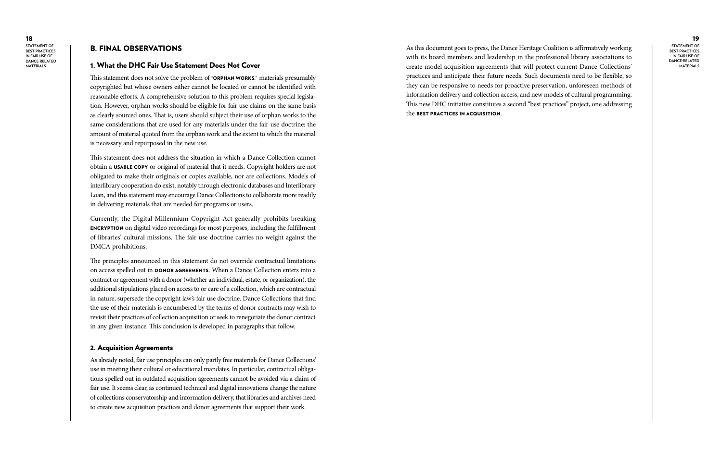18 **Statement of Best Practices in Fair Use of Dance-related Materials**

#### 19

**Statement of Best Practices in Fair Use of Dance-related Materials**

As this document goes to press, the Dance Heritage Coalition is affirmatively working with its board members and leadership in the professional library associations to create model acquisition agreements that will protect current Dance Collections' practices and anticipate their future needs. Such documents need to be flexible, so they can be responsive to needs for proactive preservation, unforeseen methods of information delivery and collection access, and new models of cultural programming. This new DHC initiative constitutes a second "best practices" project, one addressing the best practices in acquisition.

This statement does not solve the problem of "ORPHAN WORKS," materials presumably copyrighted but whose owners either cannot be located or cannot be identified with reasonable efforts. A comprehensive solution to this problem requires special legislation. However, orphan works should be eligible for fair use claims on the same basis as clearly sourced ones. That is, users should subject their use of orphan works to the same considerations that are used for any materials under the fair use doctrine: the amount of material quoted from the orphan work and the extent to which the material is necessary and repurposed in the new use.

#### B. Final Observations

#### 1. What the DHC Fair Use Statement Does Not Cover

This statement does not address the situation in which a Dance Collection cannot obtain a USABLE COPY or original of material that it needs. Copyright holders are not obligated to make their originals or copies available, nor are collections. Models of interlibrary cooperation do exist, notably through electronic databases and Interlibrary Loan, and this statement may encourage Dance Collections to collaborate more readily in delivering materials that are needed for programs or users.

Currently, the Digital Millennium Copyright Act generally prohibits breaking encryption on digital video recordings for most purposes, including the fulfillment of libraries' cultural missions. The fair use doctrine carries no weight against the DMCA prohibitions.

The principles announced in this statement do not override contractual limitations on access spelled out in DONOR AGREEMENTS. When a Dance Collection enters into a contract or agreement with a donor (whether an individual, estate, or organization), the additional stipulations placed on access to or care of a collection, which are contractual in nature, supersede the copyright law's fair use doctrine. Dance Collections that find the use of their materials is encumbered by the terms of donor contracts may wish to revisit their practices of collection acquisition or seek to renegotiate the donor contract in any given instance. This conclusion is developed in paragraphs that follow.

#### 2. Acquisition Agreements

As already noted, fair use principles can only partly free materials for Dance Collections' use in meeting their cultural or educational mandates. In particular, contractual obligations spelled out in outdated acquisition agreements cannot be avoided via a claim of fair use. It seems clear, as continued technical and digital innovations change the nature of collections conservatorship and information delivery, that libraries and archives need to create new acquisition practices and donor agreements that support their work.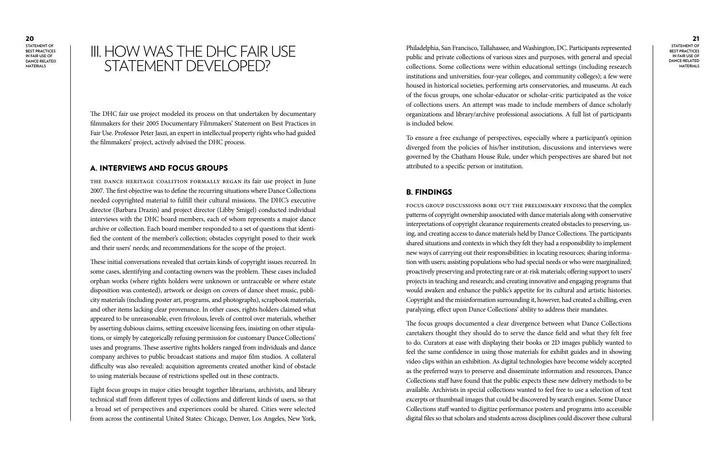**BEST PRACTICES i n Fair Use of Dance-related Materi als**

### III. HOW WAS THE DHC FAIR USE STATEMENT DEVELOPED?

#### 21

**Statement of BEST PRACTICES i n Fair Use of Dance-related Materi als**

Philadelphia, San Francisco, Tallahassee, and Washington, DC. Participants represented public and private collections of various sizes and purposes, with general and special collections. Some collections were within educational settings (including research institutions and universities, four-year colleges, and community colleges); a few were housed in historical societies, performing arts conservatories, and museums. At each of the focus groups, one scholar-educator or scholar-critic participated as the voice of collections users. An attempt was made to include members of dance scholarly organizations and library/archive professional associations. A full list of participants is included below.

To ensure a free exchange of perspectives, especially where a participant's opinion diverged from the policies of his/her institution, discussions and interviews were governed by the Chatham House Rule, under which perspectives are shared but not attributed to a specific person or institution.

#### B. Fin dings

Focus group discussions bore out the preliminary finding that the complex patterns of copyright ownership associated with dance materials along with conservative interpretations of copyright clearance requirements created obstacles to preserving, us ing, and creating access to dance materials held by Dance Collections. The participants shared situations and contexts in which they felt they had a responsibility to implement new ways of carrying out their responsibilities: in locating resources; sharing informa tion with users; assisting populations who had special needs or who were marginalized; proactively preserving and protecting rare or at-risk materials; offering support to users' projects in teaching and research; and creating innovative and engaging programs that would awaken and enhance the public's appetite for its cultural and artistic histories. Copyright and the misinformation surrounding it, however, had created a chilling, even paralyzing, effect upon Dance Collections' ability to address their mandates.

The focus groups documented a clear divergence between what Dance Collections caretakers thought they should do to serve the dance field and what they felt free to do. Curators at ease with displaying their books or 2D images publicly wanted to feel the same confidence in using those materials for exhibit guides and in showing video clips within an exhibition. As digital technologies have become widely accepted as the preferred ways to preserve and disseminate information and resources, Dance Collections staff have found that the public expects these new delivery methods to be available. Archivists in special collections wanted to feel free to use a selection of text excerpts or thumbnail images that could be discovered by search engines. Some Dance Collections staff wanted to digitize performance posters and programs into accessible digital files so that scholars and students across disciplines could discover these cultural

The DHC fair use project modeled its process on that undertaken by documentary filmmakers for their 2005 Documentary Filmmakers' Statement on Best Practices in Fair Use. Professor Peter Jaszi, an expert in intellectual property rights who had guided the filmmakers' project, actively advised the DHC process.

#### A. Interviews and Focus Groups

The Dance Heritage Coalition formally began its fair use project in June 2007. The first objective was to define the recurring situations where Dance Collections needed copyrighted material to fulfill their cultural missions. The DHC's executive director (Barbara Drazin) and project director (Libby Smigel) conducted individual interviews with the DHC board members, each of whom represents a major dance archive or collection. Each board member responded to a set of questions that identi fied the content of the member's collection; obstacles copyright posed to their work and their users' needs; and recommendations for the scope of the project.

These initial conversations revealed that certain kinds of copyright issues recurred. In some cases, identifying and contacting owners was the problem. These cases included orphan works (where rights holders were unknown or untraceable or where estate disposition was contested), artwork or design on covers of dance sheet music, publi city materials (including poster art, programs, and photographs), scrapbook materials, and other items lacking clear provenance. In other cases, rights holders claimed what appeared to be unreasonable, even frivolous, levels of control over materials, whether by asserting dubious claims, setting excessive licensing fees, insisting on other stipula tions, or simply by categorically refusing permission for customary Dance Collections' uses and programs. These assertive rights holders ranged from individuals and dance company archives to public broadcast stations and major film studios. A collateral difficulty was also revealed: acquisition agreements created another kind of obstacle to using materials because of restrictions spelled out in these contracts.

Eight focus groups in major cities brought together librarians, archivists, and library technical staff from different types of collections and different kinds of users, so that a broad set of perspectives and experiences could be shared. Cities were selected from across the continental United States: Chicago, Denver, Los Angeles, New York,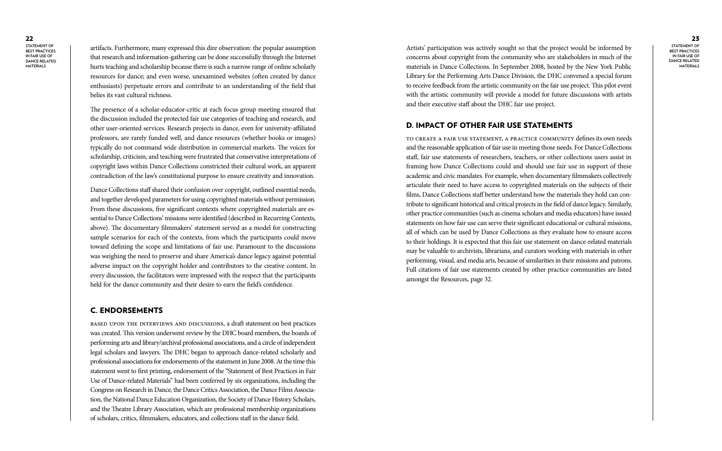#### 23 **Statement of BEST PRACTICES i n Fair Use of Dance-related Materi als**

Artists' participation was actively sought so that the project would be informed by concerns about copyright from the community who are stakeholders in much of the materials in Dance Collections. In September 2008, hosted by the New York Public Library for the Performing Arts Dance Division, the DHC convened a special forum to receive feedback from the artistic community on the fair use project. This pilot event with the artistic community will provide a model for future discussions with artists and their executive staff about the DHC fair use project.

#### D. IMPACT OF OTHER FAIR USE STATEMENTS

To create a fair use statement, a practice community defines its own needs and the reasonable application of fair use in meeting those needs. For Dance Collections staff, fair use statements of researchers, teachers, or other collections users assist in framing how Dance Collections could and should use fair use in support of these academic and civic mandates. For example, when documentary filmmakers collectively articulate their need to have access to copyrighted materials on the subjects of their films, Dance Collections staff better understand how the materials they hold can con tribute to significant historical and critical projects in the field of dance legacy. Similarly, other practice communities (such as cinema scholars and media educators) have issued statements on how fair use can serve their significant educational or cultural missions, all of which can be used by Dance Collections as they evaluate how to ensure access to their holdings. It is expected that this fair use statement on dance-related materials may be valuable to archivists, librarians, and curators working with materials in other performing, visual, and media arts, because of similarities in their missions and patrons. Full citations of fair use statements created by other practice communities are listed amongst the Resources, page 32.

artifacts. Furthermore, many expressed this dire observation: the popular assumption that research and information-gathering can be done successfully through the Internet hurts teaching and scholarship because there is such a narrow range of online scholarly resources for dance; and even worse, unexamined websites (often created by dance enthusiasts) perpetuate errors and contribute to an understanding of the field that belies its vast cultural richness.

The presence of a scholar-educator-critic at each focus group meeting ensured that the discussion included the protected fair use categories of teaching and research, and other user-oriented services. Research projects in dance, even for university-affiliated professors, are rarely funded well, and dance resources (whether books or images) typically do not command wide distribution in commercial markets. The voices for scholarship, criticism, and teaching were frustrated that conservative interpretations of copyright laws within Dance Collections constricted their cultural work, an apparent contradiction of the law's constitutional purpose to ensure creativity and innovation.

Dance Collections staff shared their confusion over copyright, outlined essential needs, and together developed parameters for using copyrighted materials without permission. From these discussions, five significant contexts where copyrighted materials are essential to Dance Collections' missions were identified (described in Recurring Contexts, above). The documentary filmmakers' statement served as a model for constructing sample scenarios for each of the contexts, from which the participants could move toward defining the scope and limitations of fair use. Paramount to the discussions was weighing the need to preserve and share America's dance legacy against potential adverse impact on the copyright holder and contributors to the creative content. In every discussion, the facilitators were impressed with the respect that the participants held for the dance community and their desire to earn the field's confidence.

#### C. Endorsements

Based upon the interviews and discussions, a draft statement on best practices was created. This version underwent review by the DHC board members, the boards of performing arts and library/archival professional associations, and a circle of independent legal scholars and lawyers. The DHC began to approach dance-related scholarly and professional associations for endorsements of the statement in June 2008. At the time this statement went to first printing, endorsement of the "Statement of Best Practices in Fair Use of Dance-related Materials" had been conferred by six organizations, including the Congress on Research in Dance, the Dance Critics Association, the Dance Films Associa tion, the National Dance Education Organization, the Society of Dance History Scholars, and the Theatre Library Association, which are professional membership organizations of scholars, critics, filmmakers, educators, and collections staff in the dance field.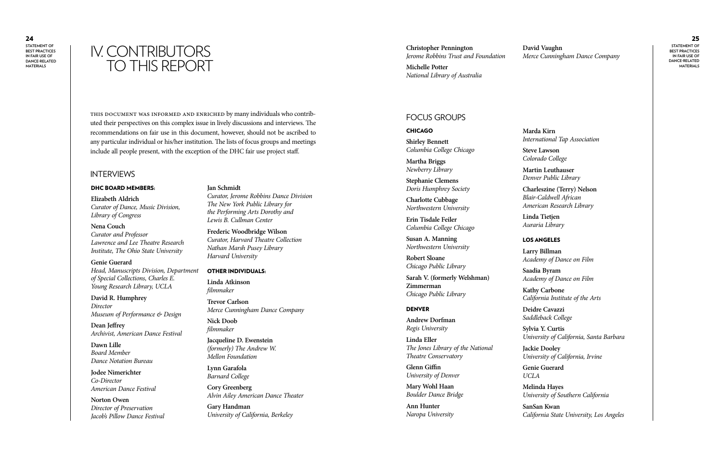## **David Vaughn David Vaughn**<br> *Ierome Robbins Trust and Foundation Merce Cunningham Dance Company*<br> *Ierome Robbins Trust and Foundation Merce Cunningham Dance Company* TO THIS REPORT

#### 25

**Statement of BEST PRACTICES i n Fair Use of Dance-related Materi als**

**Christopher Pennington** *Jerome Robbins Trust and Foundation*

**Michelle Potter** *National Library of Australia*

This document was informed and enriched by many individuals who contrib uted their perspectives on this complex issue in lively discussions and interviews. The recommendations on fair use in this document, however, should not be ascribed to any particular individual or his/her institution. The lists of focus groups and meetings include all people present, with the exception of the DHC fair use project staff.

#### **INTERVIEWS**

#### DHC BOARD MEMBERS:

**Elizabeth Aldrich** *Curator of Dance, Music Division, Library of Congress*

#### **Nena Couch** *Curator and Professor Lawrence and Lee Theatre Research*

*Institute, The Ohio State University*

### **Genie Guerard**

*Head, Manuscripts Division, Department of Special Collections, Charles E. Young Research Library, UCLA*

#### **David R. Humphrey** *Director Museum of Performance & Design*

**Dean Jeffrey** *Archivist, American Dance Festival*

**Dawn Lille** *Board Member Dance Notation Bureau*

**Jodee Nimerichter** *Co-Director American Dance Festival*

**Norton Owen** *Director of Preservation Jacob's Pillow Dance Festival*

#### **Jan Schmidt**

*Curator, Jerome Robbins Dance Division The New York Public Library for the Performing Arts Dorothy and Lewis B. Cullman Center*

**Frederic Woodbridge Wilson** *Curator, Harvard Theatre Collection Nathan Marsh Pusey Library Harvard University*

#### Other Individuals:

**Linda Atkinson** *filmmaker*

**Trevor Carlson** *Merce Cunningham Dance Company*

**Nick Doob** *filmmaker*

**Jacqueline D. Ewenstein** *(formerly) The Andrew W. Mellon Foundation*

**Lynn Garafola** *Barnard College*

**Cory Greenberg** *Alvin Ailey American Dance Theater*

**Gary Handman** *University of California, Berkeley*

### Focus Grou s

#### **CHICAGO**

**Shirley Bennett** *Columbia College Chicago*

**Martha Briggs** *Newberry Library*

**Stephanie Clemens** *Doris Humphrey Society*

**Charlotte Cubbage** *Northwestern University*

**Erin Tisdale Feiler** *Columbia College Chicago*

**Susan A. Manning** *Northwestern University*

**Robert Sloane** *Chicago Public Library*

**Sarah V. (formerly Welshman) Zimmerman** *Chicago Public Library*

#### **DENVER**

**Andrew Dorfman** *Regis University*

**Linda Eller** *The Jones Library of the National Theatre Conservatory*

**Glenn Giffin** *University of Denver*

**Mary Wohl Haan** *Boulder Dance Bridge*

**Ann Hunter** *Naropa University* **Marda Kirn**

*International Tap Association*

**Steve Lawson** *Colorado College*

**Martin Leuthauser** *Denver Public Library*

**Charleszine (Terry) Nelson** *Blair-Caldwell African American Research Library*

**Linda Tietjen** *Auraria Library*

#### Los Angeles

**Larry Billman** *Academy of Dance on Film*

**Saadia Byram**

*Academy of Dance on Film* **Kathy Carbone** *California Institute of the Arts* **Deidre Cavazzi** *Saddleback College* **Sylvia Y. Curtis** *University of California, Santa Barbara*

**Jackie Dooley** *University of California, Irvine*

**Genie Guerard** *UCLA*

**Melinda Hayes** *University of Southern California*

**SanSan Kwan**

*California State University, Los Angeles*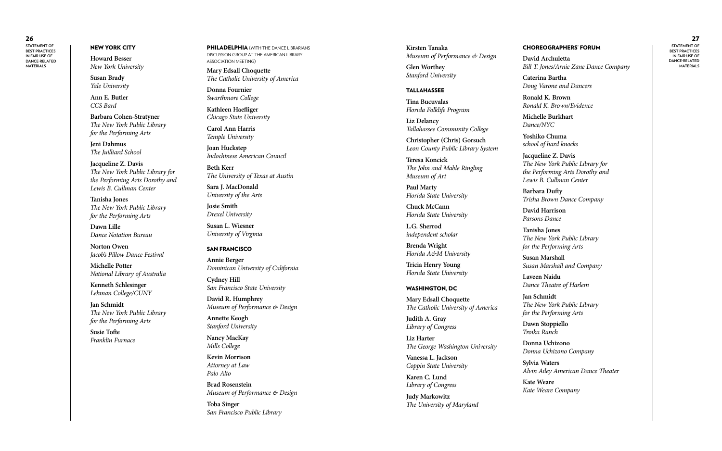#### NEW YORK CITY

27 **Statement of BEST PRACTICES i n Fair Use of Dance-related Materi als**

**Howard Besser** *New York University*

**Susan Brady** *Yale University*

**Ann E. Butler** *CCS Bard*

**Barbara Cohen-Stratyner** *The New York Public Library for the Performing Arts*

**Jeni Dahmus** *The Juilliard School*

**Jacqueline Z. Davis** *The New York Public Library for the Performing Arts Dorothy and Lewis B. Cullman Center*

PHILADELPHIA (WITH THE DANCE LIBRARIANS DISCUSSION GROUP AT THE AMERICAN LIBRARY Association meeting)

**Tanisha Jones** *The New York Public Library for the Performing Arts*

**Dawn Lille** *Dance Notation Bureau*

**Norton Owen** *Jacob's Pillow Dance Festival*

**Michelle Potter** *National Library of Australia*

**Kenneth Schlesinger** *Lehman College/CUNY*

**Jan Schmidt** *The New York Public Library for the Performing Arts*

**Susie Tofte** *Franklin Furnace* **Mary Edsall Choquette** *The Catholic University of America*

**Donna Fournier** *Swarthmore College*

**Kathleen Haefliger** *Chicago State University*

**Carol Ann Harris** *Temple University*

**Joan Huckstep** *Indochinese American Council*

**Beth Kerr** *The University of Texas at Austin*

**Sara J. MacDonald** *University of the Arts*

**Josie Smith** *Drexel University*

**Susan L. Wiesner** *University of Virginia*

#### San Francisco

**Annie Berger** *Dominican University of California*

**Cydney Hill** *San Francisco State University*

**David R. Humphrey** *Museum of Performance & Design*

**Annette Keogh** *Stanford University*

**Nancy MacKay** *Mills College*

**Kevin Morrison** *Attorney at Law Palo Alto*

**Brad Rosenstein** *Museum of Performance & Design*

**Toba Singer** *San Francisco Public Library*

**Kirsten Tanaka** *Museum of Performance & Design*

**Glen Worthey** *Stanford University*

#### **TALLAHASSEE**

**Tina Bucuvalas** *Florida Folklife Program*

**Liz Delancy** *Tallahassee Community College*

**Christopher (Chris) Gorsuch** *Leon County Public Library System*

**Teresa Koncick** *The John and Mable Ringling Museum of Art*

**Paul Marty** *Florida State University*

**Chuck McCann** *Florida State University*

**L.G. Sherrod** *independent scholar*

**Brenda Wright** *Florida A&M University*

**Tricia Henry Young** *Florida State University*

#### Was hington, D C

**Mary Edsall Choquette** *The Catholic University of America*

**Judith A. Gray** *Library of Congress*

**Liz Harter** *The George Washington University*

**Vanessa L. Jackson** *Coppin State University*

**Karen C. Lund** *Library of Congress*

**Judy Markowitz** *The University of Maryland*

#### Choreographers' Forum

**David Archuletta** *Bill T. Jones/Arnie Zane Dance Company*

**Caterina Bartha** *Doug Varone and Dancers*

**Ronald K. Brown** *Ronald K. Brown/Evidence*

**Michelle Burkhart** *Dance/NYC*

**Yoshiko Chuma** *school of hard knocks*

**Jacqueline Z. Davis** *The New York Public Library for the Performing Arts Dorothy and Lewis B. Cullman Center*

**Barbara Dufty** *Trisha Brown Dance Company*

**David Harrison** *Parsons Dance*

**Tanisha Jones**

*The New York Public Library for the Performing Arts* **Susan Marshall** *Susan Marshall and Company*

**Laveen Naidu** *Dance Theatre of Harlem*

**Jan Schmidt** *The New York Public Library for the Performing Arts*

**Dawn Stoppiello** *Troika Ranch*

**Donna Uchizono** *Donna Uchizono Company*

**Sylvia Waters** *Alvin Ailey American Dance Theater*

**Kate Weare** *Kate Weare Company*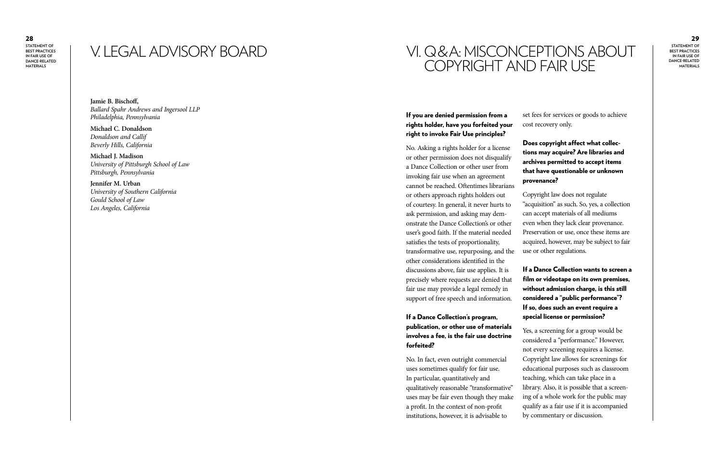## V. LEGAL ADVISORY BOARD

#### 29

**Statement of BEST PRACTICES i n Fair Use of Dance-related Materi als**

**Jamie B. Bischoff,** *Ballard Spahr Andrews and Ingersool LLP Philadelphia, Pennsylvania*

**Michael C. Donaldson** *Donaldson and Callif Beverly Hills, California*

**Michael J. Madison** *University of Pittsburgh School of Law Pittsburgh, Pennsylvania*

**Jennifer M. Urban** *University of Southern California Gould School of Law Los Angeles, California*

### VI. Q&A: MISCONCEPTIONS ABOUT i<br>. COPYRIGHT AND FAIR USE

#### If you are denied permission from a rights holder, have you forfeited your right to invoke Fair Use principles?

No. Asking a rights holder for a license or other permission does not disqualify a Dance Collection or other user from invoking fair use when an agreement cannot be reached. Oftentimes librarians or others approach rights holders out of courtesy. In general, it never hurts to ask permission, and asking may dem onstrate the Dance Collection's or other user's good faith. If the material needed satisfies the tests of proportionality, transformative use, repurposing, and the other considerations identified in the discussions above, fair use applies. It is precisely where requests are denied that fair use may provide a legal remedy in support of free speech and information.

#### If a Dance Collection's program, publication, or other use of materials involves a fee, is the fair use doctrine forfeited?

No. In fact, even outright commercial uses sometimes qualify for fair use. In particular, quantitatively and qualitatively reasonable "transformative" uses may be fair even though they make a profit. In the context of non-profit institutions, however, it is advisable to

set fees for services or goods to achieve cost recovery only.

#### Does copyright affect what collec tions may acquire? Are libraries and archives permitted to accept items that have questionable or unknown

provenance?

Copyright law does not regulate "acquisition" as such. So, yes, a collection can accept materials of all mediums even when they lack clear provenance. Preservation or use, once these items are acquired, however, may be subject to fair use or other regulations.

### If a Dance Collection wants to screen a film or videotape on its own premises, without admission charge, is this still considered a "public performance"? If so, does such an event require a

special license or permission?

Yes, a screening for a group would be considered a "performance." However, not every screening requires a license. Copyright law allows for screenings for educational purposes such as classroom teaching, which can take place in a library. Also, it is possible that a screen ing of a whole work for the public may qualify as a fair use if it is accompanied by commentary or discussion.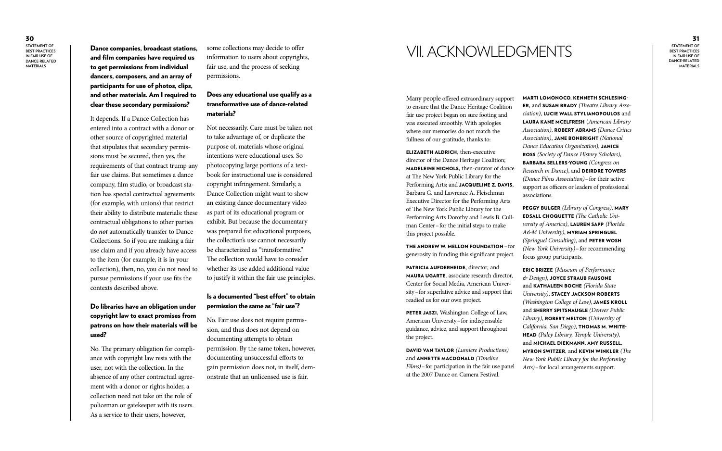30

**Statement of BEST PRACTICES i n Fair Use of Dance-related Materi als**

31 **Statement of BEST PRACTICES i n Fair Use of Dance-related Materi als**

and film companies have required us to get permissions from individual dancers, composers, and an array of participants for use of photos, clips, and other materials. Am I required to clear these secondary permissions?

It depends. If a Dance Collection has entered into a contract with a donor or other source of copyrighted material that stipulates that secondary permis sions must be secured, then yes, the requirements of that contract trump any fair use claims. But sometimes a dance company, film studio, or broadcast sta tion has special contractual agreements (for example, with unions) that restrict their ability to distribute materials: these contractual obligations to other parties do *not* automatically transfer to Dance Collections. So if you are making a fair use claim and if you already have access to the item (for example, it is in your collection), then, no, you do not need to pursue permissions if your use fits the contexts described above.

#### Do libraries have an obligation under copyright law to exact promises from patrons on how their materials will be used?

No. The primary obligation for compli ance with copyright law rests with the user, not with the collection. In the absence of any other contractual agree ment with a donor or rights holder, a collection need not take on the role of policeman or gatekeeper with its users. As a service to their users, however,

some collections may decide to offer information to users about copyrights, fair use, and the process of seeking permissions.

#### Does any educational use qualify as a transformative use of dance-related materials?

THE ANDREW W. MELLON FOUNDATION  $-$  for generosity in funding this significant project.

PETER JASZI, Washington College of Law, American University –for indispensable guidance, advice, and support throughout the project.

Not necessarily. Care must be taken not to take advantage of, or duplicate the purpose of, materials whose original intentions were educational uses. So photocopying large portions of a text book for instructional use is considered copyright infringement. Similarly, a Dance Collection might want to show an existing dance documentary video as part of its educational program or exhibit. But because the documentary was prepared for educational purposes, the collection's use cannot necessarily be characterized as "transformative." The collection would have to consider whether its use added additional value to justify it within the fair use principles.

#### Is a documented "best effort" to obtain permission the same as "fair use"?

No. Fair use does not require permis sion, and thus does not depend on documenting attempts to obtain permission. By the same token, however, documenting unsuccessful efforts to gain permission does not, in itself, dem onstrate that an unlicensed use is fair.

## **Dance companies, broadcast stations,** some collections may decide to offer  $\blacksquare$   $\blacksquare$   $\blacksquare$   $\blacksquare$   $\blacksquare$   $\blacksquare$   $\blacksquare$   $\blacksquare$   $\blacksquare$   $\blacksquare$   $\blacksquare$   $\blacksquare$   $\blacksquare$   $\blacksquare$   $\blacksquare$   $\blacksquare$   $\blacksquare$   $\blacksquare$   $\blacksquare$   $\blacksquare$   $\blacksquare$

Many people offered extraordinary support to ensure that the Dance Heritage Coalition fair use project began on sure footing and was executed smoothly. With apologies where our memories do not match the fullness of our gratitude, thanks to:

Elizabeth Aldrich, then-executive director of the Dance Heritage Coalition; MADELEINE NICHOLS, then-curator of dance at The New York Public Library for the Performing Arts; and JACQUELINE Z. DAVIS, Barbara G. and Lawrence A. Fleischman Executive Director for the Performing Arts of The New York Public Library for the Performing Arts Dorothy and Lewis B. Cull man Center –for the initial steps to make this project possible.

Patricia Aufder hei d e, director*,* and Ma ura Ugarte, associate research director, Center for Social Media, American Univer sity –for superlative advice and support that readied us for our own project.

Davi d Van Taylor *(Lumiere Productions)* and Annette Mac donal d *(Timeline Films*) – for participation in the fair use panel at the 2007 Dance on Camera Festival.

Marti LoMonoco, Kennet h S c hlesing er, and Susan Bra dy *(Theatre Library Asso*  ciation), LUCIE WALL STYLIANOPOULOS and L a ura Kane Mc E l fres h (*American Library*  Association), **ROBERT ABRAMS** (Dance Critics Association), JANE BONBRIGHT (National *Dance Education Organization)*, Janice Ross *(Society of Dance History Scholars)*, Bar bara Sellers-Y o ung *(Congress on Research in Dance)*, and **DEIRDRE TOWERS** *(Dance Films Association)* –for their active support as officers or leaders of professional associations.

Peggy B ulger *(Library of Congress)*, Mary Edsall Choq uette *(The Catholic Uni*  versity of America), LAUREN SAPP (Florida A&*M University)*, **myriam springuel** (Springuel Consulting), and PETER WOSH (New York University) - for recommending focus group participants.

Eric Brizee *(Museum of Performance*  & Design), **JOYCE STRAUB FAUSONE** and Kat haleen Boc h e *(Florida State*  University), STACEY JACKSON-ROBERTS (Washington College of Law), **JAMES KROLL** and Sherry Spitsna ugle *(Denver Public*  Library), **ROBERT MELTON** (University of California, San Diego), THOMAS M. WHITEhea d *(Paley Library, Temple University)*, and Mic hael Diek mann, Amy Russell, Myron Switzer, and Kevin Winkler *(The New York Public Library for the Performing Arts)* –for local arrangements support.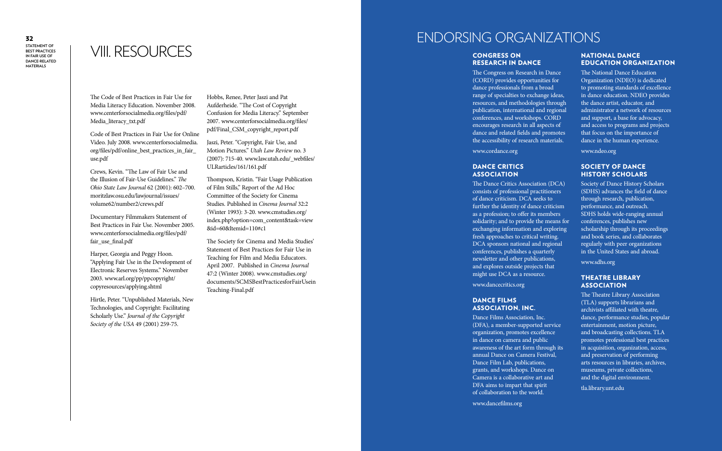## VIII. RESOURCES

The Code of Best Practices in Fair Use for Media Literacy Education. November 2008. www.centerforsocialmedia.org/files/pdf/ Media literacy txt.pdf

Code of Best Practices in Fair Use for Online Video. July 2008. www.centerforsocialmedia. org/files/pdf/online\_best\_practices\_in\_fair\_ use.pdf

Crews, Kevin. "The Law of Fair Use and the Illusion of Fair-Use Guidelines." *The Ohio State Law Journal* 62 (2001): 602–700. moritzlaw.osu.edu/lawjournal/issues/ volume62/number2/crews.pdf

Documentary Filmmakers Statement of Best Practices in Fair Use. November 2005. www.centerforsocialmedia.org/files/pdf/ fair\_use\_final.pdf

Harper, Georgia and Peggy Hoon. "Applying Fair Use in the Development of Electronic Reserves Systems." November 2003. www.arl.org/pp/ppcopyright/ copyresources/applying.shtml

Hirtle, Peter. "Unpublished Materials, New Technologies, and Copyright: Facilitating Scholarly Use." *Journal of the Copyright Society of the USA* 49 (2001) 259-75.

Hobbs, Renee, Peter Jaszi and Pat Aufderheide. "The Cost of Copyright Confusion for Media Literacy." September 2007. www.centerforsocialmedia.org/files/ pdf/Final\_CSM\_copyright\_report.pdf

Jaszi, Peter. "Copyright, Fair Use, and Motion Pictures." *Utah Law Review* no. 3 (2007): 715-40. www.law.utah.edu/\_webfiles/ ULRarticles/161/161.pdf

#### DANCE FILMS Association, Inc.

Thompson, Kristin. "Fair Usage Publication of Film Stills," Report of the Ad Hoc Committee of the Society for Cinema Studies. Published in *Cinema Journal* 32:2 (Winter 1993): 3-20. www.cmstudies.org/ index.php?option=com\_content&task=view &id=60&Itemid=110#c1

The Society for Cinema and Media Studies' Statement of Best Practices for Fair Use in Teaching for Film and Media Educators. April 2007. Published in *Cinema Journal* 47:2 (Winter 2008). www.cmstudies.org/ documents/SCMSBestPracticesforFairUsein Teaching-Final.pdf

### ENDORSING ORGANIZATIONS

### Congress on Research in Dance

#### Theatre L i brary **ASSOCIATION**

The Congress on Research in Dance (CORD) provides opportunities for dance professionals from a broad range of specialties to exchange ideas, resources, and methodologies through publication, international and regional conferences, and workshops. CORD encourages research in all aspects of dance and related fields and promotes the accessibility of research materials.

www.cordance.org

#### DANCE CRITICS **ASSOCIATION**

The Dance Critics Association (DCA) consists of professional practitioners of dance criticism. DCA seeks to further the identity of dance criticism as a profession; to offer its members solidarity; and to provide the means for exchanging information and exploring fresh approaches to critical writing. DCA sponsors national and regional conferences, publishes a quarterly newsletter and other publications, and explores outside projects that might use DCA as a resource.

www.dancecritics.org

Dance Films Association, Inc. (DFA), a member-supported service organization, promotes excellence in dance on camera and public awareness of the art form through its annual Dance on Camera Festival, Dance Film Lab, publications, grants, and workshops. Dance on Camera is a collaborative art and DFA aims to impart that spirit of collaboration to the world.

www.dancefilms.org

#### National Dance Education Organization

The National Dance Education Organization (NDEO) is dedicated to promoting standards of excellence in dance education. NDEO provides the dance artist, educator, and administrator a network of resources and support, a base for advocacy, and access to programs and projects that focus on the importance of dance in the human experience.

www.ndeo.org

#### Society o f Dance History S c holars

Society of Dance History Scholars (SDHS) advances the field of dance through research, publication, performance, and outreach. SDHS holds wide-ranging annual conferences, publishes new scholarship through its proceedings and book series, and collaborates regularly with peer organizations in the United States and abroad.

www.sdhs.org

The Theatre Library Association (TLA) supports librarians and archivists affiliated with theatre, dance, performance studies, popular entertainment, motion picture, and broadcasting collections. TLA promotes professional best practices in acquisition, organization, access, and preservation of performing arts resources in libraries, archives, museums, private collections, and the digital environment.

tla.library.unt.edu